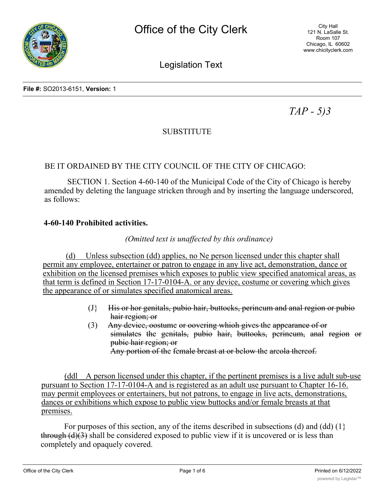

City Hall 121 N. LaSalle St. Room 107 Chicago, IL 60602 www.chicityclerk.com

# Legislation Text

**File #:** SO2013-6151, **Version:** 1

*TAP - 5)3*

# SUBSTITUTE

### BE IT ORDAINED BY THE CITY COUNCIL OF THE CITY OF CHICAGO:

SECTION 1. Section 4-60-140 of the Municipal Code of the City of Chicago is hereby amended by deleting the language stricken through and by inserting the language underscored, as follows:

#### **4-60-140 Prohibited activities.**

### *(Omitted text is unaffected by this ordinance)*

(d) Unless subsection (dd) applies, no Ne person licensed under this chapter shall permit any employee, entertainer or patron to engage in any live act, demonstration, dance or exhibition on the licensed premises which exposes to public view specified anatomical areas, as that term is defined in Section 17-17-0104-A. or any device, costume or covering which gives the appearance of or simulates specified anatomical areas.

- (J} His or hor genitals, pubio hair, buttocks, perineum and anal region or pubio hair region; or
- (3) Any device, oostume or oovering whioh gives the appearance of or simulates the genitals, pubio hair, buttooks, perineum, anal region or pubic hair region; or Any portion of the female breast at or below the areola thereof.

(ddl A person licensed under this chapter, if the pertinent premises is a live adult sub-use pursuant to Section 17-17-0104-A and is registered as an adult use pursuant to Chapter 16-16. may permit employees or entertainers, but not patrons, to engage in live acts, demonstrations, dances or exhibitions which expose to public view buttocks and/or female breasts at that premises.

For purposes of this section, any of the items described in subsections (d) and (dd)  $(1)$ through  $(d)(3)$  shall be considered exposed to public view if it is uncovered or is less than completely and opaquely covered.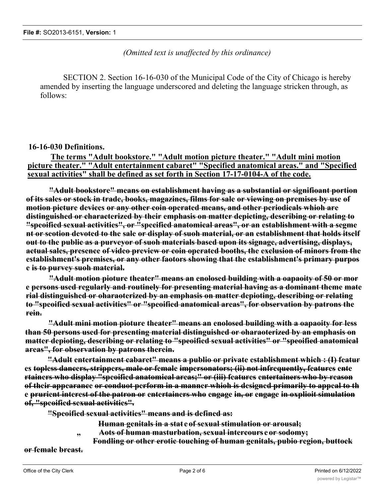*(Omitted text is unaffected by this ordinance)*

SECTION 2. Section 16-16-030 of the Municipal Code of the City of Chicago is hereby amended by inserting the language underscored and deleting the language stricken through, as follows:

#### **16-16-030 Definitions.**

**The terms "Adult bookstore." "Adult motion picture theater." "Adult mini motion picture theater." "Adult entertainment cabaret" "Specified anatomical areas." and "Specified sexual activities" shall be defined as set forth in Section 17-17-0104-A of the code.**

**"Adult bookstore" means on establishment having as a substantial or signifioant portion of its sales or stock in trade, books, magazines, films for sale or viewing on premises by use of motion picture devices or any other coin operated means, and other periodicals whioh are distinguished or characterized by their emphasis on matter depicting, describing or relating to "speoified sexual activities", or "specified anatomical areas", or an establishment with a segme nt or seotion devoted to the sale or display of suoh material, or an establishment that holds itself out to the public as a purveyor of suoh materials based upon its signage, advertising, displays, actual sales, presence of video preview or coin operated booths, the exclusion of minors from the establishment's premises, or any other faotors showing that the establishment's primary purpos e is to purvey suoh material.**

**"Adult motion pioture theater" means an enolosed building with a oapaoity of 50 or mor e persons used regularly and routinely for presenting material having as a dominant theme mate rial distinguished or oharaoterized by an emphasis on matter depioting, describing or relating to "speoified sexual activities" or "speoified anatomical areas", for observation by patrons the rein.**

**"Adult mini motion pioture theater" means an enolosed building with a oapaoity for less than 50 persons used for presenting material distinguished or oharaoterized by an emphasis on matter depioting, describing or relating to "speoified sexual activities" or "speoified anatomical areas", for observation by patrons therein.**

**"Adult entertainment cabaret" means a publio or private establishment which : (I) featur es topless dancers, strippers, male or female impersonators; (ii) not infrequently, features ente rtainers who display "speoified anatomical areas;" or (iii) features entertainers who by reason of their appearance or conduot perform in a manner whioh is designed primarily to appeal to th e prurient interest of the patron or entertainers who engage in, or engage in oxplioit simulation of, "speoified sexual activities".**

**"Speoified sexual activities" means and is defined as:**

- **Human genitals in a stat e of sexual stimulation or arousal;**
- **" Aots of human masturbation, sexual intercours e or sodomy;**
	- **Fondling or other erotic touching of human genitals, pubio region, buttock**

**or female breast.**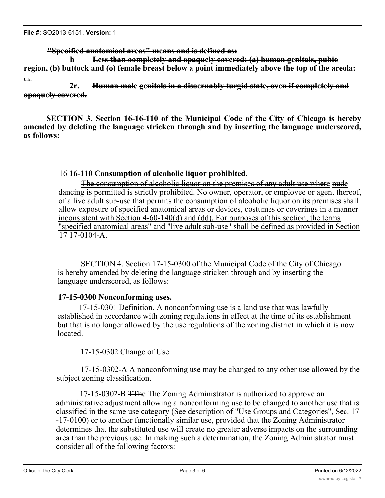**"Speoified anatomioal areas" means and is defined as:**

**h Less than oompletely and opaquely covered: (a) human genitals, pubio region, (b) buttock and (o) female breast below a point immediately above the top of the areola: Ullvl**

**2r. Human male genitals in a disoernably turgid state, oven if completely and opaquely covered.**

**SECTION 3. Section 16-16-110 of the Municipal Code of the City of Chicago is hereby amended by deleting the language stricken through and by inserting the language underscored, as follows:**

### 16 **16-110 Consumption of alcoholic liquor prohibited.**

The consumption of alcoholic liquor on the premises of any adult use where nude dancing is permitted is strictly prohibited. No owner, operator, or employee or agent thereof, of a live adult sub-use that permits the consumption of alcoholic liquor on its premises shall allow exposure of specified anatomical areas or devices, costumes or coverings in a manner inconsistent with Section 4-60-140(d) and (dd). For purposes of this section, the terms "specified anatomical areas" and "live adult sub-use" shall be defined as provided in Section 17 17-0104-A.

SECTION 4. Section 17-15-0300 of the Municipal Code of the City of Chicago is hereby amended by deleting the language stricken through and by inserting the language underscored, as follows:

### **17-15-0300 Nonconforming uses.**

17-15-0301 Definition. A nonconforming use is a land use that was lawfully established in accordance with zoning regulations in effect at the time of its establishment but that is no longer allowed by the use regulations of the zoning district in which it is now located.

17-15-0302 Change of Use.

17-15-0302-A A nonconforming use may be changed to any other use allowed by the subject zoning classification.

17-15-0302-B TThe The Zoning Administrator is authorized to approve an administrative adjustment allowing a nonconforming use to be changed to another use that is classified in the same use category (See description of "Use Groups and Categories", Sec. 17 -17-0100) or to another functionally similar use, provided that the Zoning Administrator determines that the substituted use will create no greater adverse impacts on the surrounding area than the previous use. In making such a determination, the Zoning Administrator must consider all of the following factors: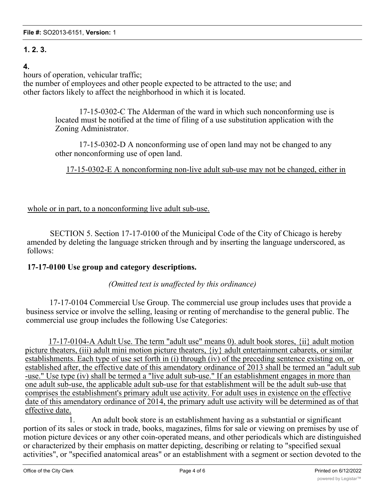# **1. 2. 3.**

## **4.**

hours of operation, vehicular traffic;

the number of employees and other people expected to be attracted to the use; and other factors likely to affect the neighborhood in which it is located.

> 17-15-0302-C The Alderman of the ward in which such nonconforming use is located must be notified at the time of filing of a use substitution application with the Zoning Administrator.

> 17-15-0302-D A nonconforming use of open land may not be changed to any other nonconforming use of open land.

17-15-0302-E A nonconforming non-live adult sub-use may not be changed, either in

whole or in part, to a nonconforming live adult sub-use.

SECTION 5. Section 17-17-0100 of the Municipal Code of the City of Chicago is hereby amended by deleting the language stricken through and by inserting the language underscored, as follows:

### **17-17-0100 Use group and category descriptions.**

*(Omitted text is unaffected by this ordinance)*

17-17-0104 Commercial Use Group. The commercial use group includes uses that provide a business service or involve the selling, leasing or renting of merchandise to the general public. The commercial use group includes the following Use Categories:

17-17-0104-A Adult Use. The term "adult use" means 0). adult book stores, {ii} adult motion picture theaters, (iii) adult mini motion picture theaters, {iy} adult entertainment cabarets, or similar establishments. Each type of use set forth in (i) through (iv) of the preceding sentence existing on, or established after, the effective date of this amendatory ordinance of 2013 shall be termed an "adult sub -use." Use type (iv) shall be termed a "live adult sub-use." If an establishment engages in more than one adult sub-use, the applicable adult sub-use for that establishment will be the adult sub-use that comprises the establishment's primary adult use activity. For adult uses in existence on the effective date of this amendatory ordinance of 2014, the primary adult use activity will be determined as of that effective date.

1. An adult book store is an establishment having as a substantial or significant portion of its sales or stock in trade, books, magazines, films for sale or viewing on premises by use of motion picture devices or any other coin-operated means, and other periodicals which are distinguished or characterized by their emphasis on matter depicting, describing or relating to "specified sexual activities", or "specified anatomical areas" or an establishment with a segment or section devoted to the